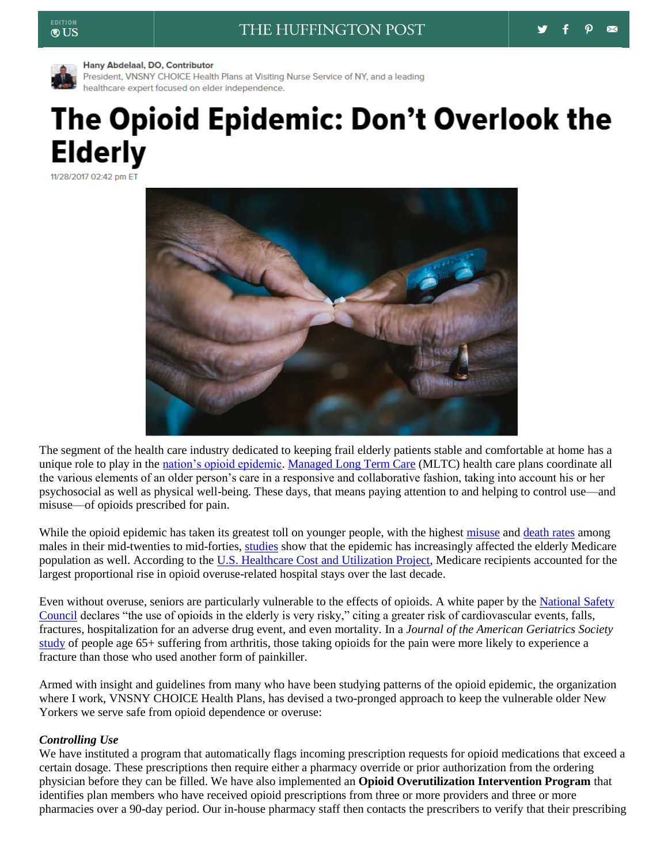

Hany Abdelaal, DO, Contributor

President, VNSNY CHOICE Health Plans at Visiting Nurse Service of NY, and a leading healthcare expert focused on elder independence.

## The Opioid Epidemic: Don't Overlook the **Elderly**

11/28/2017 02:42 pm ET



The segment of the health care industry dedicated to keeping frail elderly patients stable and comfortable at home has a unique role to play in the [nation's opioid epidemic.](https://www.nytimes.com/interactive/2017/06/05/upshot/opioid-epidemic-drug-overdose-deaths-are-rising-faster-than-ever.html) [Managed Long Term Care](https://www.huffingtonpost.com/entry/a-new-model-for-aging-at-_b_12267912.html) (MLTC) health care plans coordinate all the various elements of an older person's care in a responsive and collaborative fashion, taking into account his or her psychosocial as well as physical well-being. These days, that means paying attention to and helping to control use—and misuse—of opioids prescribed for pain.

While the opioid epidemic has taken its greatest toll on younger people, with the highest [misuse](https://www.ncbi.nlm.nih.gov/pubmed/20001171) and [death rates](https://www.cdc.gov/mmwr/volumes/65/wr/mm655051e1.htm) among males in their mid-twenties to mid-forties, [studies](https://www.hcup-us.ahrq.gov/reports/statbriefs/sb177-Hospitalizations-for-Opioid-Overuse.jsp) show that the epidemic has increasingly affected the elderly Medicare population as well. According to the [U.S. Healthcare Cost and Utilization Project,](https://www.hcup-us.ahrq.gov/reports/statbriefs/sb177-Hospitalizations-for-Opioid-Overuse.jsp) Medicare recipients accounted for the largest proportional rise in opioid overuse-related hospital stays over the last decade.

Even without overuse, seniors are particularly vulnerable to the effects of opioids. A white paper by the [National Safety](http://www.nsc.org/RxDrugOverdoseDocuments/900006497-ADV-Rx-Side-Effects-WhitePaper.pdf?utm_campaign=Advocacy%3A%20Rx%20Employer%20Kit&utm_source=hs_automation&utm_medium=email&utm_content=16086380&_hsenc=p2ANqtz-9wj2pzGmg34eovPuqyrkHcASViXfyc6hSYErUfSWEXqbUNo7UMzG5GEc-13Omc7JgtlXcxD3gG85BJ6tXv3LYgFa_ETRWjZIJGYSkd89VgGJqHgYU&_hsmi=16086380)  [Council](http://www.nsc.org/RxDrugOverdoseDocuments/900006497-ADV-Rx-Side-Effects-WhitePaper.pdf?utm_campaign=Advocacy%3A%20Rx%20Employer%20Kit&utm_source=hs_automation&utm_medium=email&utm_content=16086380&_hsenc=p2ANqtz-9wj2pzGmg34eovPuqyrkHcASViXfyc6hSYErUfSWEXqbUNo7UMzG5GEc-13Omc7JgtlXcxD3gG85BJ6tXv3LYgFa_ETRWjZIJGYSkd89VgGJqHgYU&_hsmi=16086380) declares "the use of opioids in the elderly is very risky," citing a greater risk of cardiovascular events, falls, fractures, hospitalization for an adverse drug event, and even mortality. In a *Journal of the American Geriatrics Society* [study](https://www.ncbi.nlm.nih.gov/pubmed/21391934) of people age 65+ suffering from arthritis, those taking opioids for the pain were more likely to experience a fracture than those who used another form of painkiller.

Armed with insight and guidelines from many who have been studying patterns of the opioid epidemic, the organization where I work, VNSNY CHOICE Health Plans, has devised a two-pronged approach to keep the vulnerable older New Yorkers we serve safe from opioid dependence or overuse:

## *Controlling Use*

We have instituted a program that automatically flags incoming prescription requests for opioid medications that exceed a certain dosage. These prescriptions then require either a pharmacy override or prior authorization from the ordering physician before they can be filled. We have also implemented an **Opioid Overutilization Intervention Program** that identifies plan members who have received opioid prescriptions from three or more providers and three or more pharmacies over a 90-day period. Our in-house pharmacy staff then contacts the prescribers to verify that their prescribing